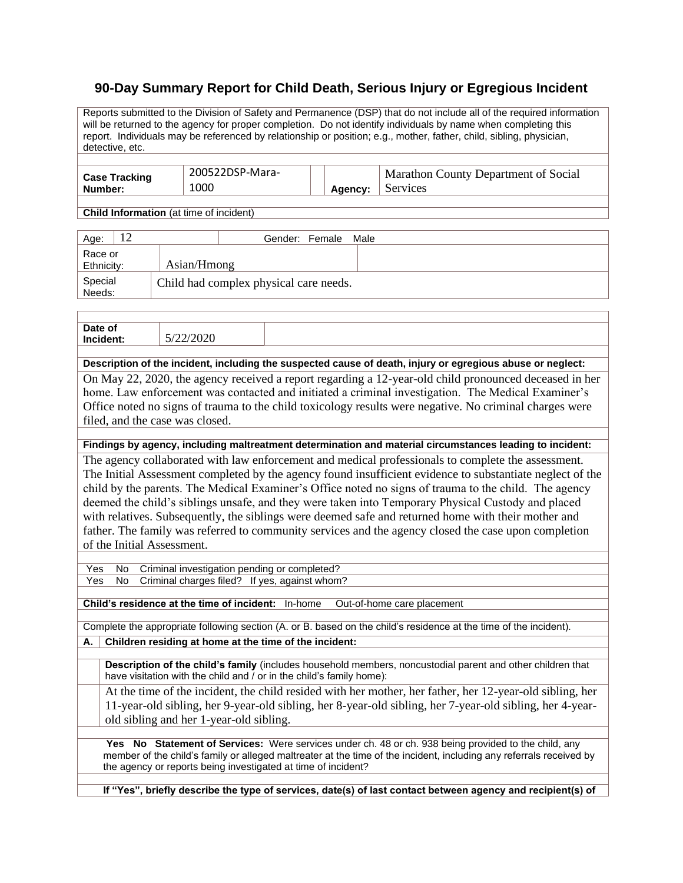## **90-Day Summary Report for Child Death, Serious Injury or Egregious Incident**

Reports submitted to the Division of Safety and Permanence (DSP) that do not include all of the required information will be returned to the agency for proper completion. Do not identify individuals by name when completing this report. Individuals may be referenced by relationship or position; e.g., mother, father, child, sibling, physician, detective, etc.

| <b>Case Tracking</b> | 200522DSP-Mara- |         | Marathon County Department of Social |  |
|----------------------|-----------------|---------|--------------------------------------|--|
| Number:              | 1000            | Agency: | Services                             |  |

**Child Information** (at time of incident)

| Age:                                                        |             | Gender: Female<br>Male |
|-------------------------------------------------------------|-------------|------------------------|
| Race or<br>Ethnicity:                                       | Asian/Hmong |                        |
| Special<br>Needs:<br>Child had complex physical care needs. |             |                        |

| Date of<br>Incident:                                                                                       | 5/22/2020 |  |  |  |
|------------------------------------------------------------------------------------------------------------|-----------|--|--|--|
|                                                                                                            |           |  |  |  |
| Description of the incident, including the suspected cause of death, injury or egregious abuse or neglect: |           |  |  |  |

On May 22, 2020, the agency received a report regarding a 12-year-old child pronounced deceased in her home. Law enforcement was contacted and initiated a criminal investigation. The Medical Examiner's Office noted no signs of trauma to the child toxicology results were negative. No criminal charges were filed, and the case was closed.

## **Findings by agency, including maltreatment determination and material circumstances leading to incident:**

The agency collaborated with law enforcement and medical professionals to complete the assessment. The Initial Assessment completed by the agency found insufficient evidence to substantiate neglect of the child by the parents. The Medical Examiner's Office noted no signs of trauma to the child. The agency deemed the child's siblings unsafe, and they were taken into Temporary Physical Custody and placed with relatives. Subsequently, the siblings were deemed safe and returned home with their mother and father. The family was referred to community services and the agency closed the case upon completion of the Initial Assessment.

Yes No Criminal investigation pending or completed? Yes No Criminal charges filed? If yes, against whom?

**Child's residence at the time of incident:** In-home Out-of-home care placement

Complete the appropriate following section (A. or B. based on the child's residence at the time of the incident).

**A. Children residing at home at the time of the incident:**

**Description of the child's family** (includes household members, noncustodial parent and other children that have visitation with the child and / or in the child's family home):

At the time of the incident, the child resided with her mother, her father, her 12-year-old sibling, her 11-year-old sibling, her 9-year-old sibling, her 8-year-old sibling, her 7-year-old sibling, her 4-yearold sibling and her 1-year-old sibling.

**Yes No Statement of Services:** Were services under ch. 48 or ch. 938 being provided to the child, any member of the child's family or alleged maltreater at the time of the incident, including any referrals received by the agency or reports being investigated at time of incident?

**If "Yes", briefly describe the type of services, date(s) of last contact between agency and recipient(s) of**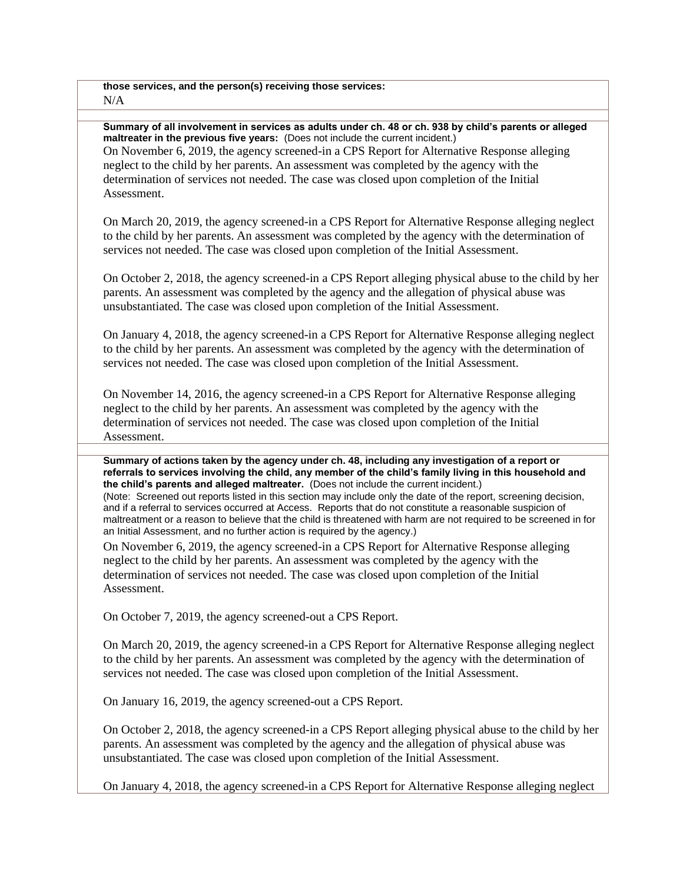**those services, and the person(s) receiving those services:**  $N/A$ 

**Summary of all involvement in services as adults under ch. 48 or ch. 938 by child's parents or alleged maltreater in the previous five years:** (Does not include the current incident.) On November 6, 2019, the agency screened-in a CPS Report for Alternative Response alleging neglect to the child by her parents. An assessment was completed by the agency with the determination of services not needed. The case was closed upon completion of the Initial Assessment.

On March 20, 2019, the agency screened-in a CPS Report for Alternative Response alleging neglect to the child by her parents. An assessment was completed by the agency with the determination of services not needed. The case was closed upon completion of the Initial Assessment.

On October 2, 2018, the agency screened-in a CPS Report alleging physical abuse to the child by her parents. An assessment was completed by the agency and the allegation of physical abuse was unsubstantiated. The case was closed upon completion of the Initial Assessment.

On January 4, 2018, the agency screened-in a CPS Report for Alternative Response alleging neglect to the child by her parents. An assessment was completed by the agency with the determination of services not needed. The case was closed upon completion of the Initial Assessment.

On November 14, 2016, the agency screened-in a CPS Report for Alternative Response alleging neglect to the child by her parents. An assessment was completed by the agency with the determination of services not needed. The case was closed upon completion of the Initial Assessment.

**Summary of actions taken by the agency under ch. 48, including any investigation of a report or referrals to services involving the child, any member of the child's family living in this household and the child's parents and alleged maltreater.** (Does not include the current incident.)

(Note: Screened out reports listed in this section may include only the date of the report, screening decision, and if a referral to services occurred at Access. Reports that do not constitute a reasonable suspicion of maltreatment or a reason to believe that the child is threatened with harm are not required to be screened in for an Initial Assessment, and no further action is required by the agency.)

On November 6, 2019, the agency screened-in a CPS Report for Alternative Response alleging neglect to the child by her parents. An assessment was completed by the agency with the determination of services not needed. The case was closed upon completion of the Initial Assessment.

On October 7, 2019, the agency screened-out a CPS Report.

On March 20, 2019, the agency screened-in a CPS Report for Alternative Response alleging neglect to the child by her parents. An assessment was completed by the agency with the determination of services not needed. The case was closed upon completion of the Initial Assessment.

On January 16, 2019, the agency screened-out a CPS Report.

On October 2, 2018, the agency screened-in a CPS Report alleging physical abuse to the child by her parents. An assessment was completed by the agency and the allegation of physical abuse was unsubstantiated. The case was closed upon completion of the Initial Assessment.

On January 4, 2018, the agency screened-in a CPS Report for Alternative Response alleging neglect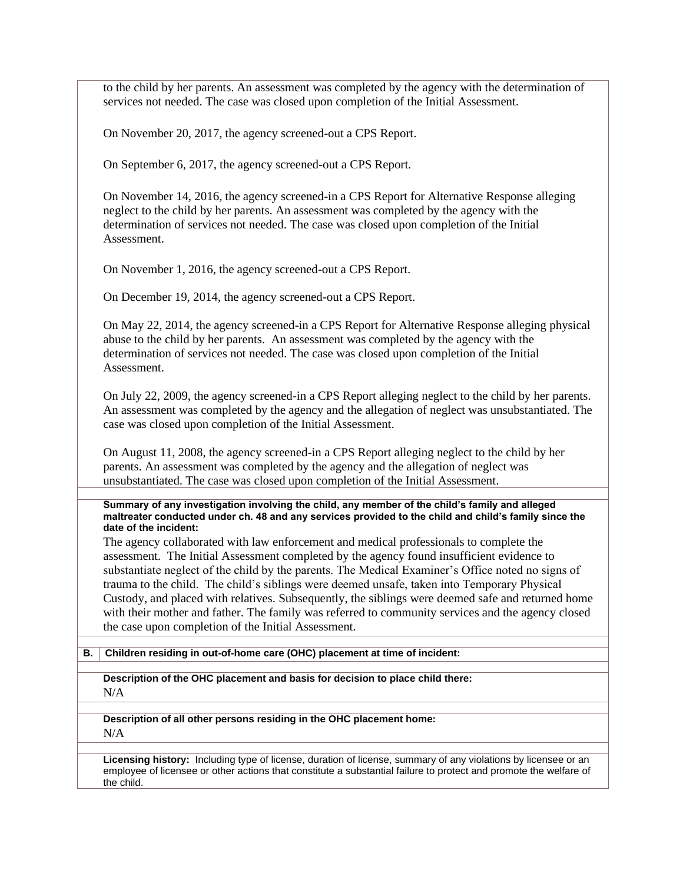to the child by her parents. An assessment was completed by the agency with the determination of services not needed. The case was closed upon completion of the Initial Assessment.

On November 20, 2017, the agency screened-out a CPS Report.

On September 6, 2017, the agency screened-out a CPS Report.

On November 14, 2016, the agency screened-in a CPS Report for Alternative Response alleging neglect to the child by her parents. An assessment was completed by the agency with the determination of services not needed. The case was closed upon completion of the Initial Assessment.

On November 1, 2016, the agency screened-out a CPS Report.

On December 19, 2014, the agency screened-out a CPS Report.

On May 22, 2014, the agency screened-in a CPS Report for Alternative Response alleging physical abuse to the child by her parents. An assessment was completed by the agency with the determination of services not needed. The case was closed upon completion of the Initial Assessment.

On July 22, 2009, the agency screened-in a CPS Report alleging neglect to the child by her parents. An assessment was completed by the agency and the allegation of neglect was unsubstantiated. The case was closed upon completion of the Initial Assessment.

On August 11, 2008, the agency screened-in a CPS Report alleging neglect to the child by her parents. An assessment was completed by the agency and the allegation of neglect was unsubstantiated. The case was closed upon completion of the Initial Assessment.

**Summary of any investigation involving the child, any member of the child's family and alleged maltreater conducted under ch. 48 and any services provided to the child and child's family since the date of the incident:**

The agency collaborated with law enforcement and medical professionals to complete the assessment. The Initial Assessment completed by the agency found insufficient evidence to substantiate neglect of the child by the parents. The Medical Examiner's Office noted no signs of trauma to the child. The child's siblings were deemed unsafe, taken into Temporary Physical Custody, and placed with relatives. Subsequently, the siblings were deemed safe and returned home with their mother and father. The family was referred to community services and the agency closed the case upon completion of the Initial Assessment.

## **B. Children residing in out-of-home care (OHC) placement at time of incident:**

**Description of the OHC placement and basis for decision to place child there:** N/A

**Description of all other persons residing in the OHC placement home:**  $N/A$ 

**Licensing history:** Including type of license, duration of license, summary of any violations by licensee or an employee of licensee or other actions that constitute a substantial failure to protect and promote the welfare of the child.